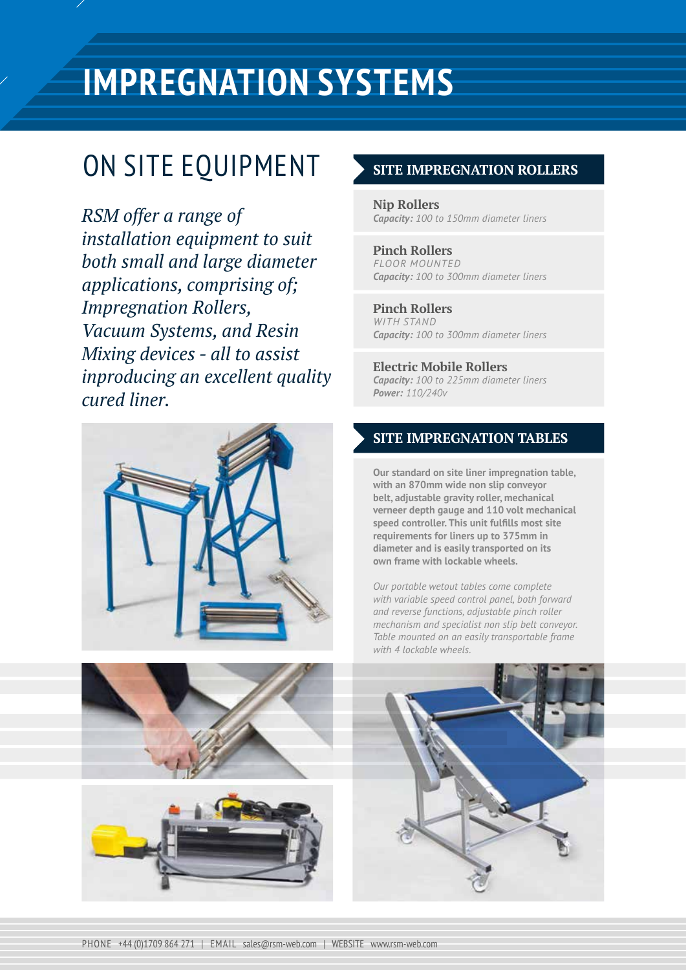# ON SITE EQUIPMENT > SITTE IMPREGNA

*RSM offer a range of installation equipment to suit both small and large diameter applications, comprising of; Impregnation Rollers, Vacuum Systems, and Resin Mixing devices - all to assist inproducing an excellent quality cured liner.*







#### **SITE IMPREGNATION ROLLERS**

**Nip Rollers** *Capacity: 100 to 150mm diameter liners*

**Pinch Rollers** *FLOOR MOUNTED Capacity: 100 to 300mm diameter liners*

**Pinch Rollers** *WITH STAND Capacity: 100 to 300mm diameter liners*

**Electric Mobile Rollers** *Capacity: 100 to 225mm diameter liners Power: 110/240v*

### **SITE IMPREGNATION TABLES**

**Our standard on site liner impregnation table, with an 870mm wide non slip conveyor belt, adjustable gravity roller, mechanical verneer depth gauge and 110 volt mechanical speed controller. This unit fulfills most site requirements for liners up to 375mm in diameter and is easily transported on its own frame with lockable wheels.** 

*Our portable wetout tables come complete with variable speed control panel, both forward and reverse functions, adjustable pinch roller mechanism and specialist non slip belt conveyor. Table mounted on an easily transportable frame with 4 lockable wheels.*

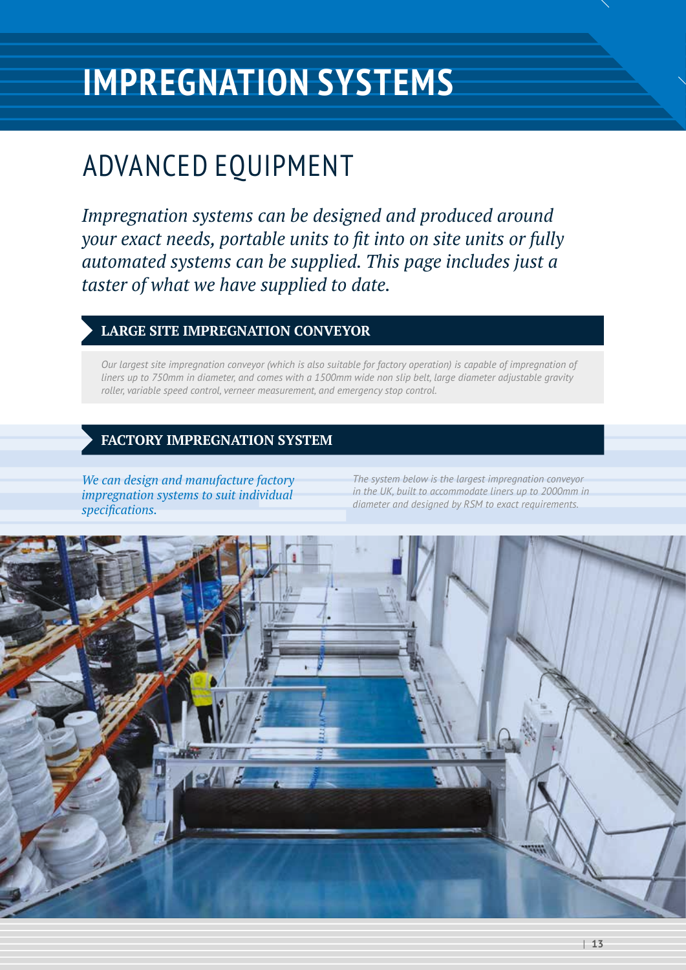### ADVANCED EQUIPMENT

*Impregnation systems can be designed and produced around your exact needs, portable units to fit into on site units or fully automated systems can be supplied. This page includes just a taster of what we have supplied to date.*

### **LARGE SITE IMPREGNATION CONVEYOR**

*Our largest site impregnation conveyor (which is also suitable for factory operation) is capable of impregnation of liners up to 750mm in diameter, and comes with a 1500mm wide non slip belt, large diameter adjustable gravity roller, variable speed control, verneer measurement, and emergency stop control.*

### **FACTORY IMPREGNATION SYSTEM**

*We can design and manufacture factory impregnation systems to suit individual specifications.*

*The system below is the largest impregnation conveyor in the UK, built to accommodate liners up to 2000mm in diameter and designed by RSM to exact requirements.*

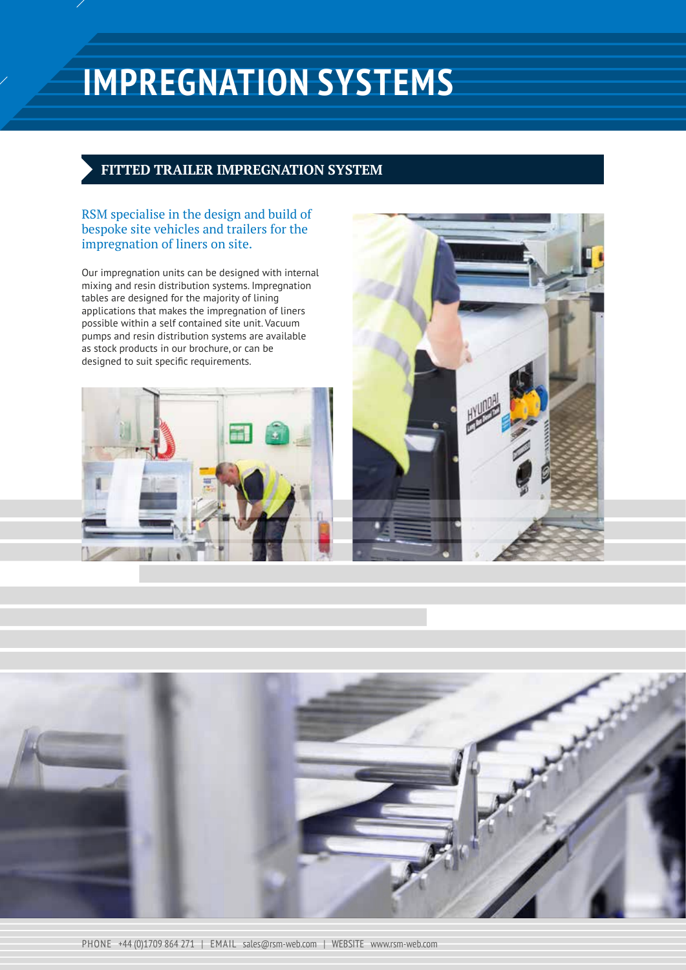#### **FITTED TRAILER IMPREGNATION SYSTEM**

RSM specialise in the design and build of bespoke site vehicles and trailers for the impregnation of liners on site.

Our impregnation units can be designed with internal mixing and resin distribution systems. Impregnation tables are designed for the majority of lining applications that makes the impregnation of liners possible within a self contained site unit. Vacuum pumps and resin distribution systems are available as stock products in our brochure, or can be designed to suit specific requirements.